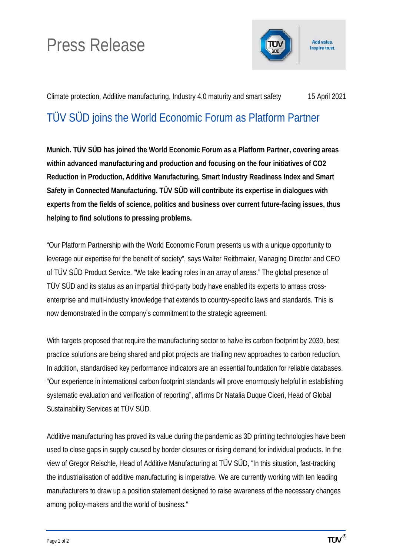## Press Release



Add value. **Inspire trust.** 

Climate protection, Additive manufacturing, Industry 4.0 maturity and smart safety 15 April 2021

## TÜV SÜD joins the World Economic Forum as Platform Partner

**Munich. TÜV SÜD has joined the World Economic Forum as a Platform Partner, covering areas within advanced manufacturing and production and focusing on the four initiatives of CO2 Reduction in Production, Additive Manufacturing, Smart Industry Readiness Index and Smart Safety in Connected Manufacturing. TÜV SÜD will contribute its expertise in dialogues with experts from the fields of science, politics and business over current future-facing issues, thus helping to find solutions to pressing problems.**

"Our Platform Partnership with the World Economic Forum presents us with a unique opportunity to leverage our expertise for the benefit of society", says Walter Reithmaier, Managing Director and CEO of TÜV SÜD Product Service. "We take leading roles in an array of areas." The global presence of TÜV SÜD and its status as an impartial third-party body have enabled its experts to amass crossenterprise and multi-industry knowledge that extends to country-specific laws and standards. This is now demonstrated in the company's commitment to the strategic agreement.

With targets proposed that require the manufacturing sector to halve its carbon footprint by 2030, best practice solutions are being shared and pilot projects are trialling new approaches to carbon reduction. In addition, standardised key performance indicators are an essential foundation for reliable databases. "Our experience in international carbon footprint standards will prove enormously helpful in establishing systematic evaluation and verification of reporting", affirms Dr Natalia Duque Ciceri, Head of Global Sustainability Services at TÜV SÜD.

Additive manufacturing has proved its value during the pandemic as 3D printing technologies have been used to close gaps in supply caused by border closures or rising demand for individual products. In the view of Gregor Reischle, Head of Additive Manufacturing at TÜV SÜD, "In this situation, fast-tracking the industrialisation of additive manufacturing is imperative. We are currently working with ten leading manufacturers to draw up a position statement designed to raise awareness of the necessary changes among policy-makers and the world of business."